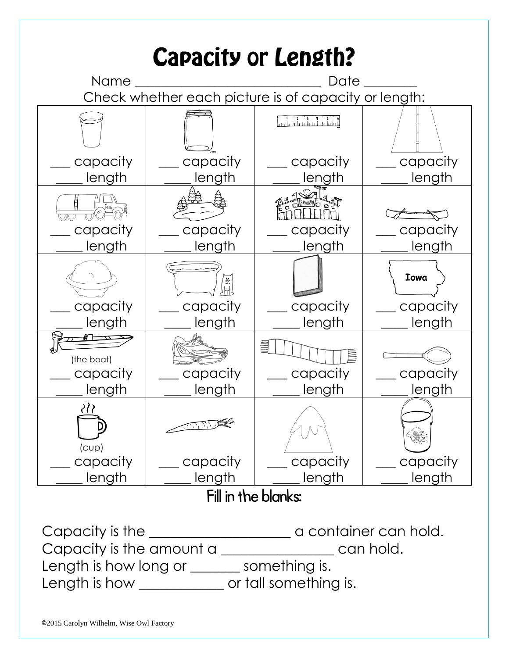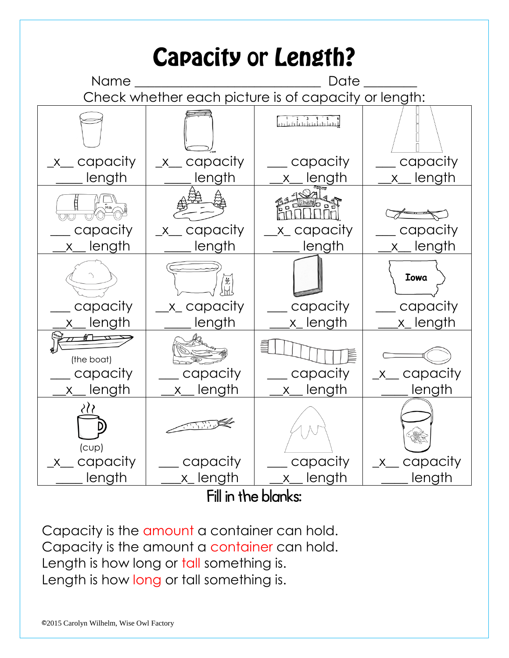

Capacity is the amount a container can hold. Capacity is the amount a container can hold. Length is how long or tall something is. Length is how long or tall something is.